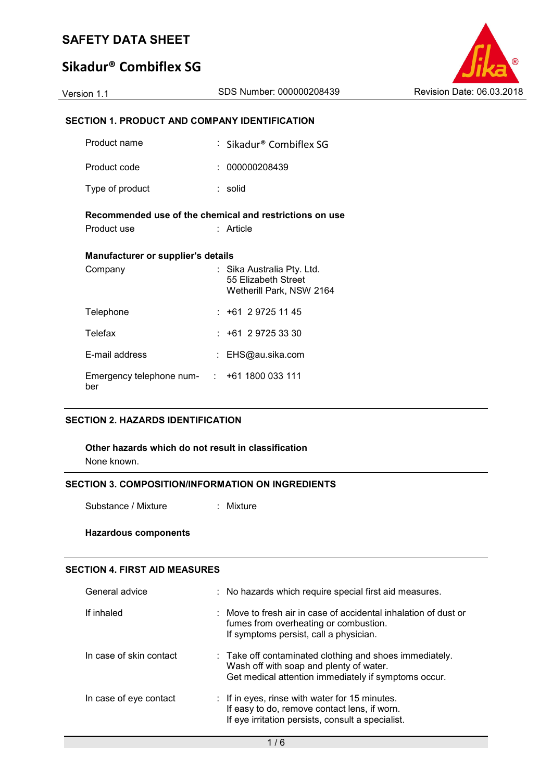# **Sikadur® Combiflex SG**



## **SECTION 1. PRODUCT AND COMPANY IDENTIFICATION**

| Product name                                            |  | : Sikadur® Combiflex SG                                                       |  |  |  |  |  |  |
|---------------------------------------------------------|--|-------------------------------------------------------------------------------|--|--|--|--|--|--|
| Product code                                            |  | 000000208439                                                                  |  |  |  |  |  |  |
| Type of product                                         |  | : solid                                                                       |  |  |  |  |  |  |
| Recommended use of the chemical and restrictions on use |  |                                                                               |  |  |  |  |  |  |
| Product use                                             |  | Article                                                                       |  |  |  |  |  |  |
| <b>Manufacturer or supplier's details</b>               |  |                                                                               |  |  |  |  |  |  |
| Company                                                 |  | : Sika Australia Pty. Ltd.<br>55 Elizabeth Street<br>Wetherill Park, NSW 2164 |  |  |  |  |  |  |
| Telephone                                               |  | $: +61297251145$                                                              |  |  |  |  |  |  |
| Telefax                                                 |  | $: +61 \ 2 \ 9725 \ 33 \ 30$                                                  |  |  |  |  |  |  |
| E-mail address                                          |  | : EHS@au.sika.com                                                             |  |  |  |  |  |  |
| Emergency telephone num- : +61 1800 033 111<br>ber      |  |                                                                               |  |  |  |  |  |  |

#### **SECTION 2. HAZARDS IDENTIFICATION**

#### **Other hazards which do not result in classification**

None known.

### **SECTION 3. COMPOSITION/INFORMATION ON INGREDIENTS**

Substance / Mixture : Mixture

#### **Hazardous components**

#### **SECTION 4. FIRST AID MEASURES**

| General advice          | : No hazards which require special first aid measures.                                                                                                                |
|-------------------------|-----------------------------------------------------------------------------------------------------------------------------------------------------------------------|
| If inhaled              | : Move to fresh air in case of accidental inhalation of dust or<br>fumes from overheating or combustion.<br>If symptoms persist, call a physician.                    |
| In case of skin contact | $\therefore$ Take off contaminated clothing and shoes immediately.<br>Wash off with soap and plenty of water.<br>Get medical attention immediately if symptoms occur. |
| In case of eye contact  | : If in eyes, rinse with water for 15 minutes.<br>If easy to do, remove contact lens, if worn.<br>If eye irritation persists, consult a specialist.                   |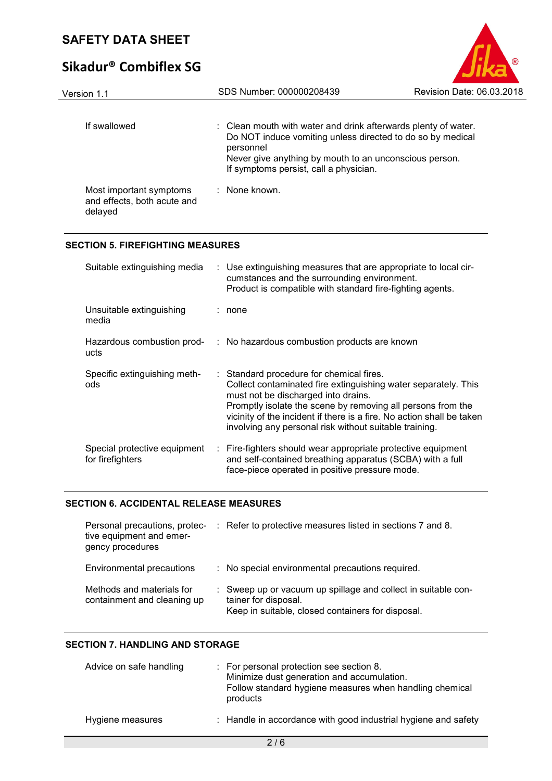# **Sikadur® Combiflex SG**

| Version 1.1                                                       | SDS Number: 000000208439                                                                                                                                                                                                                      | Revision Date: 06.03.2018 |
|-------------------------------------------------------------------|-----------------------------------------------------------------------------------------------------------------------------------------------------------------------------------------------------------------------------------------------|---------------------------|
| If swallowed                                                      | : Clean mouth with water and drink afterwards plenty of water.<br>Do NOT induce vomiting unless directed to do so by medical<br>personnel<br>Never give anything by mouth to an unconscious person.<br>If symptoms persist, call a physician. |                           |
| Most important symptoms<br>and effects, both acute and<br>delayed | $:$ None known.                                                                                                                                                                                                                               |                           |

 $\circledR$ 

#### **SECTION 5. FIREFIGHTING MEASURES**

| Suitable extinguishing media                     |   | : Use extinguishing measures that are appropriate to local cir-<br>cumstances and the surrounding environment.<br>Product is compatible with standard fire-fighting agents.                                                                                                                                                                         |
|--------------------------------------------------|---|-----------------------------------------------------------------------------------------------------------------------------------------------------------------------------------------------------------------------------------------------------------------------------------------------------------------------------------------------------|
| Unsuitable extinguishing<br>media                |   | none                                                                                                                                                                                                                                                                                                                                                |
| Hazardous combustion prod-<br>ucts               |   | : No hazardous combustion products are known                                                                                                                                                                                                                                                                                                        |
| Specific extinguishing meth-<br>ods              |   | : Standard procedure for chemical fires.<br>Collect contaminated fire extinguishing water separately. This<br>must not be discharged into drains.<br>Promptly isolate the scene by removing all persons from the<br>vicinity of the incident if there is a fire. No action shall be taken<br>involving any personal risk without suitable training. |
| Special protective equipment<br>for firefighters | ÷ | Fire-fighters should wear appropriate protective equipment<br>and self-contained breathing apparatus (SCBA) with a full<br>face-piece operated in positive pressure mode.                                                                                                                                                                           |

#### **SECTION 6. ACCIDENTAL RELEASE MEASURES**

| Personal precautions, protec-<br>tive equipment and emer-<br>gency procedures | : Refer to protective measures listed in sections 7 and 8.                                                                                 |
|-------------------------------------------------------------------------------|--------------------------------------------------------------------------------------------------------------------------------------------|
| Environmental precautions                                                     | : No special environmental precautions required.                                                                                           |
| Methods and materials for<br>containment and cleaning up                      | : Sweep up or vacuum up spillage and collect in suitable con-<br>tainer for disposal.<br>Keep in suitable, closed containers for disposal. |

#### **SECTION 7. HANDLING AND STORAGE**

| Advice on safe handling | : For personal protection see section 8.<br>Minimize dust generation and accumulation.<br>Follow standard hygiene measures when handling chemical<br>products |
|-------------------------|---------------------------------------------------------------------------------------------------------------------------------------------------------------|
| Hygiene measures        | : Handle in accordance with good industrial hygiene and safety                                                                                                |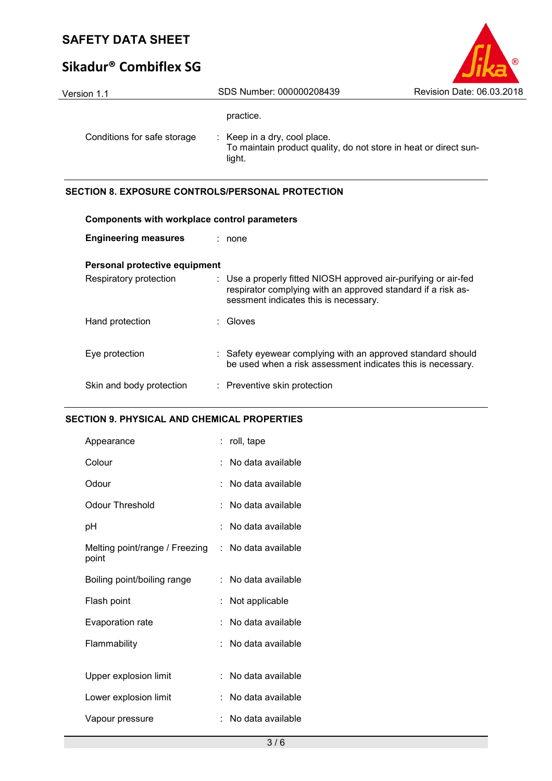# **Sikadur® Combiflex SG**

| Version 1.1                 | SDS Number: 000000208439                                                                                              | Revision Date: 06.03.2018 |
|-----------------------------|-----------------------------------------------------------------------------------------------------------------------|---------------------------|
|                             | practice.                                                                                                             |                           |
| Conditions for safe storage | $\therefore$ Keep in a dry, cool place.<br>To maintain product quality, do not store in heat or direct sun-<br>light. |                           |

 $\circledR$ 

#### **SECTION 8. EXPOSURE CONTROLS/PERSONAL PROTECTION**

| <b>Components with workplace control parameters</b> |  |                                                                                                                                                                          |  |
|-----------------------------------------------------|--|--------------------------------------------------------------------------------------------------------------------------------------------------------------------------|--|
| <b>Engineering measures</b>                         |  | : none                                                                                                                                                                   |  |
| Personal protective equipment                       |  |                                                                                                                                                                          |  |
| Respiratory protection                              |  | : Use a properly fitted NIOSH approved air-purifying or air-fed<br>respirator complying with an approved standard if a risk as-<br>sessment indicates this is necessary. |  |
| Hand protection                                     |  | : Gloves                                                                                                                                                                 |  |
| Eye protection                                      |  | : Safety eyewear complying with an approved standard should<br>be used when a risk assessment indicates this is necessary.                                               |  |
| Skin and body protection                            |  | : Preventive skin protection                                                                                                                                             |  |

#### **SECTION 9. PHYSICAL AND CHEMICAL PROPERTIES**

| Appearance                              | t. | roll, tape        |
|-----------------------------------------|----|-------------------|
| Colour                                  |    | No data available |
| Odour                                   |    | No data available |
| <b>Odour Threshold</b>                  | t  | No data available |
| рH                                      |    | No data available |
| Melting point/range / Freezing<br>point | t. | No data available |
| Boiling point/boiling range             | ÷  | No data available |
| Flash point                             |    | Not applicable    |
| Evaporation rate                        |    | No data available |
| Flammability                            | ۰  | No data available |
| Upper explosion limit                   |    | No data available |
| Lower explosion limit                   |    | No data available |
| Vapour pressure                         |    | No data available |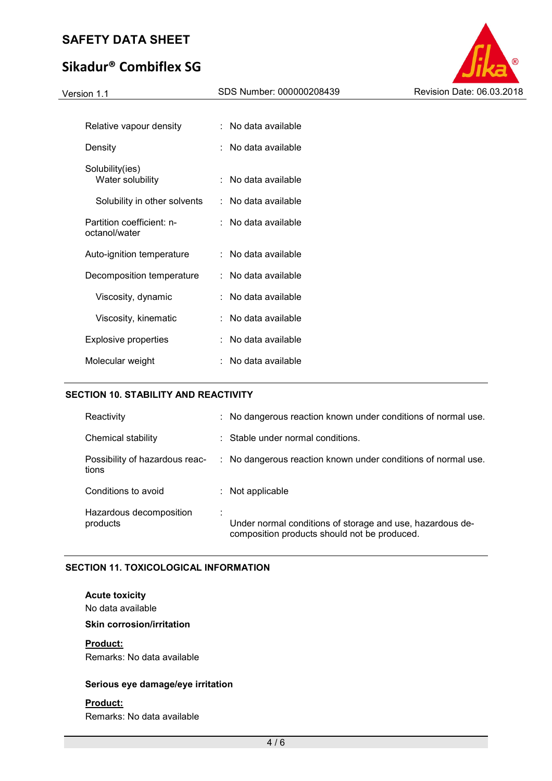# **Sikadur® Combiflex SG**



| Relative vapour density                    | : No data available     |
|--------------------------------------------|-------------------------|
| Density                                    | No data available       |
| Solubility(ies)<br>Water solubility        | No data available<br>t. |
| Solubility in other solvents               | No data available       |
| Partition coefficient: n-<br>octanol/water | No data available       |
| Auto-ignition temperature                  | No data available       |
| Decomposition temperature                  | : No data available     |
| Viscosity, dynamic                         | No data available       |
| Viscosity, kinematic                       | No data available       |
| Explosive properties                       | No data available<br>t. |
| Molecular weight                           | No data available       |

#### **SECTION 10. STABILITY AND REACTIVITY**

| Reactivity                              | : No dangerous reaction known under conditions of normal use.                                             |
|-----------------------------------------|-----------------------------------------------------------------------------------------------------------|
| Chemical stability                      | : Stable under normal conditions.                                                                         |
| Possibility of hazardous reac-<br>tions | : No dangerous reaction known under conditions of normal use.                                             |
| Conditions to avoid                     | : Not applicable                                                                                          |
| Hazardous decomposition<br>products     | Under normal conditions of storage and use, hazardous de-<br>composition products should not be produced. |

#### **SECTION 11. TOXICOLOGICAL INFORMATION**

#### **Acute toxicity**

No data available

#### **Skin corrosion/irritation**

#### **Product:**

Remarks: No data available

#### **Serious eye damage/eye irritation**

#### **Product:**

Remarks: No data available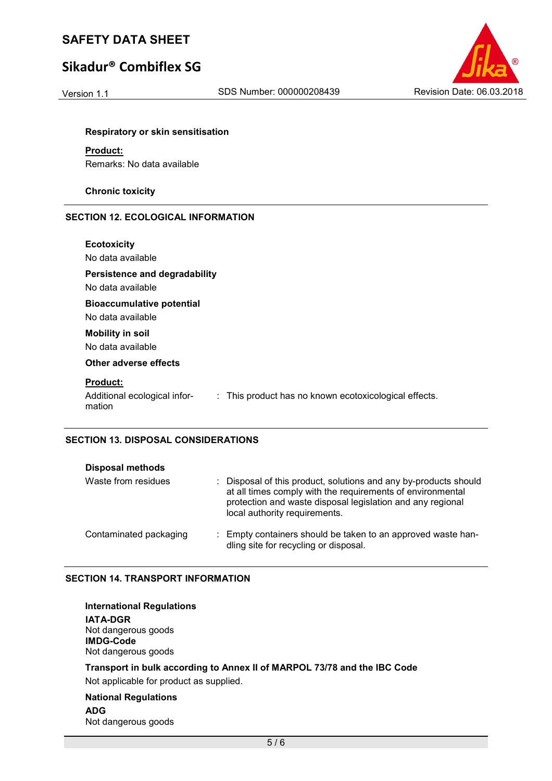# **Sikadur® Combiflex SG**



#### **Respiratory or skin sensitisation**

**Product:** 

Remarks: No data available

**Chronic toxicity** 

#### **SECTION 12. ECOLOGICAL INFORMATION**

| <b>Ecotoxicity</b><br>No data available                                                                            |  |
|--------------------------------------------------------------------------------------------------------------------|--|
| <b>Persistence and degradability</b><br>No data available                                                          |  |
| <b>Bioaccumulative potential</b><br>No data available                                                              |  |
| <b>Mobility in soil</b><br>No data available                                                                       |  |
| Other adverse effects                                                                                              |  |
| <b>Product:</b><br>: This product has no known ecotoxicological effects.<br>Additional ecological infor-<br>mation |  |

#### **SECTION 13. DISPOSAL CONSIDERATIONS**

| <b>Disposal methods</b> |                                                                                                                                                                                                                               |
|-------------------------|-------------------------------------------------------------------------------------------------------------------------------------------------------------------------------------------------------------------------------|
| Waste from residues     | : Disposal of this product, solutions and any by-products should<br>at all times comply with the requirements of environmental<br>protection and waste disposal legislation and any regional<br>local authority requirements. |
| Contaminated packaging  | : Empty containers should be taken to an approved waste han-<br>dling site for recycling or disposal.                                                                                                                         |

#### **SECTION 14. TRANSPORT INFORMATION**

| <b>International Regulations</b><br><b>IATA-DGR</b><br>Not dangerous goods<br><b>IMDG-Code</b><br>Not dangerous goods |
|-----------------------------------------------------------------------------------------------------------------------|
| Transport in bulk according to Annex II of MARPOL 73/78 and the IBC Code<br>Not applicable for product as supplied.   |
| <b>National Regulations</b><br>$\ddot{\phantom{a}}$                                                                   |

**ADG** Not dangerous goods